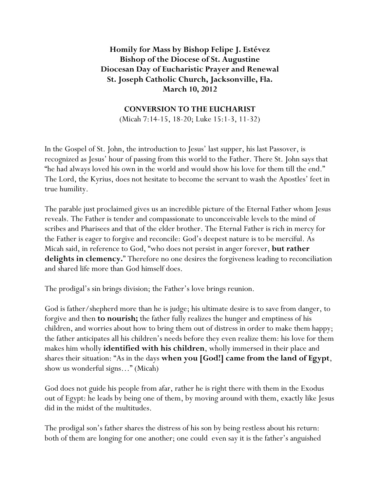## **Homily for Mass by Bishop Felipe J. Estévez Bishop of the Diocese of St. Augustine Diocesan Day of Eucharistic Prayer and Renewal St. Joseph Catholic Church, Jacksonville, Fla. March 10, 2012**

## **CONVERSION TO THE EUCHARIST**

(Micah 7:14-15, 18-20; Luke 15:1-3, 11-32)

In the Gospel of St. John, the introduction to Jesus' last supper, his last Passover, is recognized as Jesus' hour of passing from this world to the Father. There St. John says that "he had always loved his own in the world and would show his love for them till the end." The Lord, the Kyrius, does not hesitate to become the servant to wash the Apostles' feet in true humility.

The parable just proclaimed gives us an incredible picture of the Eternal Father whom Jesus reveals. The Father is tender and compassionate to unconceivable levels to the mind of scribes and Pharisees and that of the elder brother. The Eternal Father is rich in mercy for the Father is eager to forgive and reconcile: God's deepest nature is to be merciful. As Micah said, in reference to God, "who does not persist in anger forever, **but rather delights in clemency.**" Therefore no one desires the forgiveness leading to reconciliation and shared life more than God himself does.

The prodigal's sin brings division; the Father's love brings reunion.

God is father/shepherd more than he is judge; his ultimate desire is to save from danger, to forgive and then **to nourish;** the father fully realizes the hunger and emptiness of his children, and worries about how to bring them out of distress in order to make them happy; the father anticipates all his children's needs before they even realize them: his love for them makes him wholly **identified with his children**, wholly immersed in their place and shares their situation: "As in the days **when you [God!] came from the land of Egypt**, show us wonderful signs…" (Micah)

God does not guide his people from afar, rather he is right there with them in the Exodus out of Egypt: he leads by being one of them, by moving around with them, exactly like Jesus did in the midst of the multitudes.

The prodigal son's father shares the distress of his son by being restless about his return: both of them are longing for one another; one could even say it is the father's anguished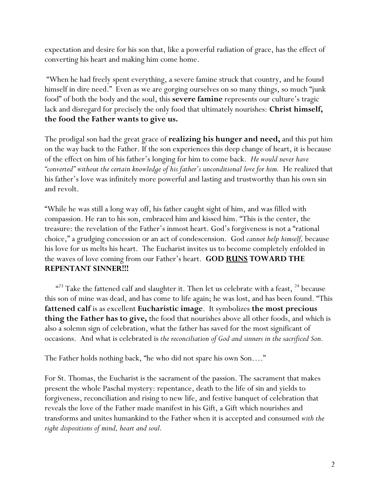expectation and desire for his son that, like a powerful radiation of grace, has the effect of converting his heart and making him come home.

 "When he had freely spent everything, a severe famine struck that country, and he found himself in dire need." Even as we are gorging ourselves on so many things, so much "junk food" of both the body and the soul, this **severe famine** represents our culture's tragic lack and disregard for precisely the only food that ultimately nourishes: **Christ himself, the food the Father wants to give us.**

The prodigal son had the great grace of **realizing his hunger and need,** and this put him on the way back to the Father. If the son experiences this deep change of heart, it is because of the effect on him of his father's longing for him to come back. *He would never have "converted" without the certain knowledge of his father's unconditional love for him.* He realized that his father's love was infinitely more powerful and lasting and trustworthy than his own sin and revolt.

"While he was still a long way off, his father caught sight of him, and was filled with compassion. He ran to his son, embraced him and kissed him. "This is the center, the treasure: the revelation of the Father's inmost heart. God's forgiveness is not a "rational choice," a grudging concession or an act of condescension. God *cannot help himself,* because his love for us melts his heart. The Eucharist invites us to become completely enfolded in the waves of love coming from our Father's heart. **GOD RUNS TOWARD THE REPENTANT SINNER!!!** 

 $423$  Take the fattened calf and slaughter it. Then let us celebrate with a feast,  $24$  because this son of mine was dead, and has come to life again; he was lost, and has been found. "This **fattened calf** is as excellent **Eucharistic image**. It symbolizes **the most precious thing the Father has to give,** the food that nourishes above all other foods, and which is also a solemn sign of celebration, what the father has saved for the most significant of occasions. And what is celebrated is *the reconciliation of God and sinners in the sacrificed Son.*

The Father holds nothing back, "he who did not spare his own Son…."

For St. Thomas, the Eucharist is the sacrament of the passion. The sacrament that makes present the whole Paschal mystery: repentance, death to the life of sin and yields to forgiveness, reconciliation and rising to new life, and festive banquet of celebration that reveals the love of the Father made manifest in his Gift, a Gift which nourishes and transforms and unites humankind to the Father when it is accepted and consumed *with the right dispositions of mind, heart and soul.*